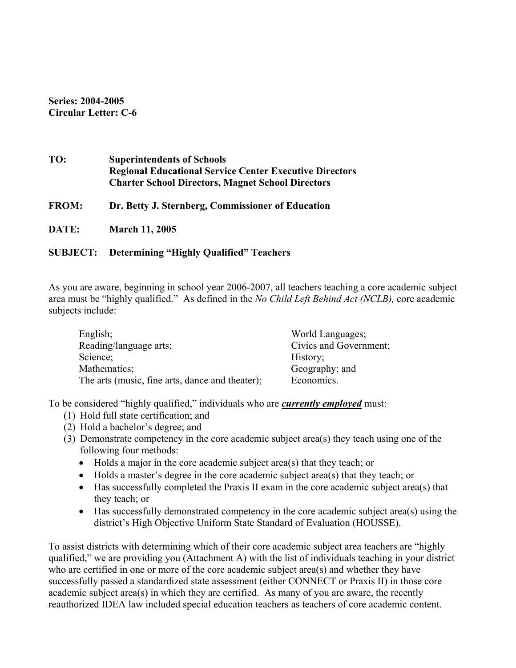**Series: 2004-2005 Circular Letter: C-6** 

| TO:          | <b>Superintendents of Schools</b><br><b>Regional Educational Service Center Executive Directors</b><br><b>Charter School Directors, Magnet School Directors</b> |
|--------------|-----------------------------------------------------------------------------------------------------------------------------------------------------------------|
| <b>FROM:</b> | Dr. Betty J. Sternberg, Commissioner of Education                                                                                                               |
| DATE:        | <b>March 11, 2005</b>                                                                                                                                           |

## **SUBJECT: Determining "Highly Qualified" Teachers**

As you are aware, beginning in school year 2006-2007, all teachers teaching a core academic subject area must be "highly qualified." As defined in the *No Child Left Behind Act (NCLB),* core academic subjects include:

| English;                                        | World Languages;       |
|-------------------------------------------------|------------------------|
| Reading/language arts;                          | Civics and Government; |
| Science;                                        | History;               |
| Mathematics;                                    | Geography; and         |
| The arts (music, fine arts, dance and theater); | Economics.             |

To be considered "highly qualified," individuals who are *currently employed* must:

- (1) Hold full state certification; and
- (2) Hold a bachelor's degree; and
- (3) Demonstrate competency in the core academic subject area(s) they teach using one of the following four methods:
	- Holds a major in the core academic subject area(s) that they teach; or
	- Holds a master's degree in the core academic subject area(s) that they teach; or
	- Has successfully completed the Praxis II exam in the core academic subject area(s) that they teach; or
	- Has successfully demonstrated competency in the core academic subject area(s) using the district's High Objective Uniform State Standard of Evaluation (HOUSSE).

To assist districts with determining which of their core academic subject area teachers are "highly qualified," we are providing you (Attachment A) with the list of individuals teaching in your district who are certified in one or more of the core academic subject area(s) and whether they have successfully passed a standardized state assessment (either CONNECT or Praxis II) in those core academic subject area(s) in which they are certified. As many of you are aware, the recently reauthorized IDEA law included special education teachers as teachers of core academic content.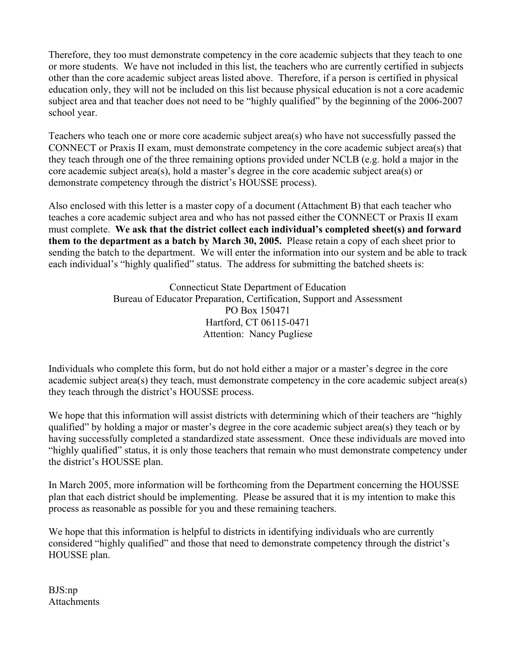Therefore, they too must demonstrate competency in the core academic subjects that they teach to one or more students. We have not included in this list, the teachers who are currently certified in subjects other than the core academic subject areas listed above. Therefore, if a person is certified in physical education only, they will not be included on this list because physical education is not a core academic subject area and that teacher does not need to be "highly qualified" by the beginning of the 2006-2007 school year.

Teachers who teach one or more core academic subject area(s) who have not successfully passed the CONNECT or Praxis II exam, must demonstrate competency in the core academic subject area(s) that they teach through one of the three remaining options provided under NCLB (e.g. hold a major in the core academic subject area(s), hold a master's degree in the core academic subject area(s) or demonstrate competency through the district's HOUSSE process).

Also enclosed with this letter is a master copy of a document (Attachment B) that each teacher who teaches a core academic subject area and who has not passed either the CONNECT or Praxis II exam must complete. **We ask that the district collect each individual's completed sheet(s) and forward them to the department as a batch by March 30, 2005.** Please retain a copy of each sheet prior to sending the batch to the department. We will enter the information into our system and be able to track each individual's "highly qualified" status. The address for submitting the batched sheets is:

> Connecticut State Department of Education Bureau of Educator Preparation, Certification, Support and Assessment PO Box 150471 Hartford, CT 06115-0471 Attention: Nancy Pugliese

Individuals who complete this form, but do not hold either a major or a master's degree in the core academic subject area(s) they teach, must demonstrate competency in the core academic subject area(s) they teach through the district's HOUSSE process.

We hope that this information will assist districts with determining which of their teachers are "highly" qualified" by holding a major or master's degree in the core academic subject area(s) they teach or by having successfully completed a standardized state assessment. Once these individuals are moved into "highly qualified" status, it is only those teachers that remain who must demonstrate competency under the district's HOUSSE plan.

In March 2005, more information will be forthcoming from the Department concerning the HOUSSE plan that each district should be implementing. Please be assured that it is my intention to make this process as reasonable as possible for you and these remaining teachers.

We hope that this information is helpful to districts in identifying individuals who are currently considered "highly qualified" and those that need to demonstrate competency through the district's HOUSSE plan.

BJS:np **Attachments**